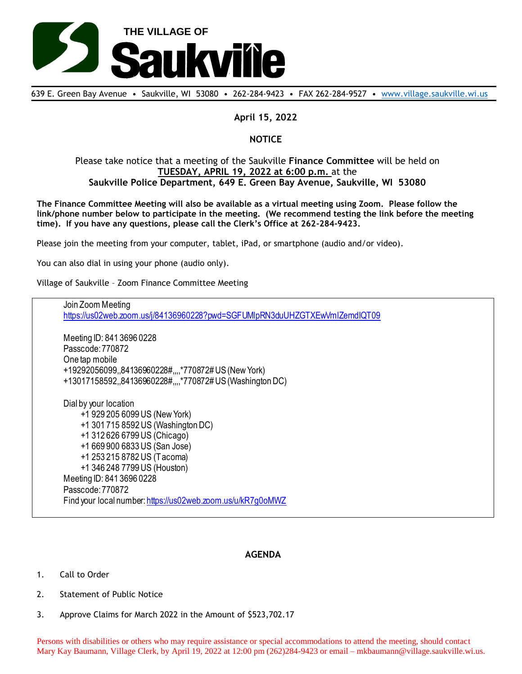

639 E. Green Bay Avenue • Saukville, WI 53080 • 262-284-9423 • FAX 262-284-9527 • [www.village.saukville.wi.us](http://www.village.saukville.wi.us/)

## **April 15, 2022**

## **NOTICE**

## Please take notice that a meeting of the Saukville **Finance Committee** will be held on **TUESDAY, APRIL 19, 2022 at 6:00 p.m.** at the **Saukville Police Department, 649 E. Green Bay Avenue, Saukville, WI 53080**

**The Finance Committee Meeting will also be available as a virtual meeting using Zoom. Please follow the link/phone number below to participate in the meeting. (We recommend testing the link before the meeting time). If you have any questions, please call the Clerk's Office at 262-284-9423.**

Please join the meeting from your computer, tablet, iPad, or smartphone (audio and/or video).

You can also dial in using your phone (audio only).

Village of Saukville – Zoom Finance Committee Meeting

Join Zoom Meeting https://us02web.zoom.us/j/84136960228?pwd=SGFUMlpRN3duUHZGTXEwVmlZemdIQT09 Meeting ID: 841 3696 0228 Passcode: 770872 One tap mobile +19292056099,,84136960228#,,,,\*770872# US (New York) +13017158592,,84136960228#,,,,\*770872# US (Washington DC) Dial by your location +1 929 205 6099 US (New York) +1 301 715 8592 US (Washington DC) +1 312 626 6799 US (Chicago) +1 669 900 6833 US (San Jose) +1 253 215 8782 US (Tacoma) +1 346 248 7799 US (Houston) Meeting ID: 841 3696 0228 Passcode: 770872 Find your local number: https://us02web.zoom.us/u/kR7g0oMWZ

## **AGENDA**

- 1. Call to Order
- 2. Statement of Public Notice
- 3. Approve Claims for March 2022 in the Amount of \$523,702.17

Persons with disabilities or others who may require assistance or special accommodations to attend the meeting, should contact Mary Kay Baumann, Village Clerk, by April 19, 2022 at 12:00 pm (262)284-9423 or email – mkbaumann@village.saukville.wi.us.